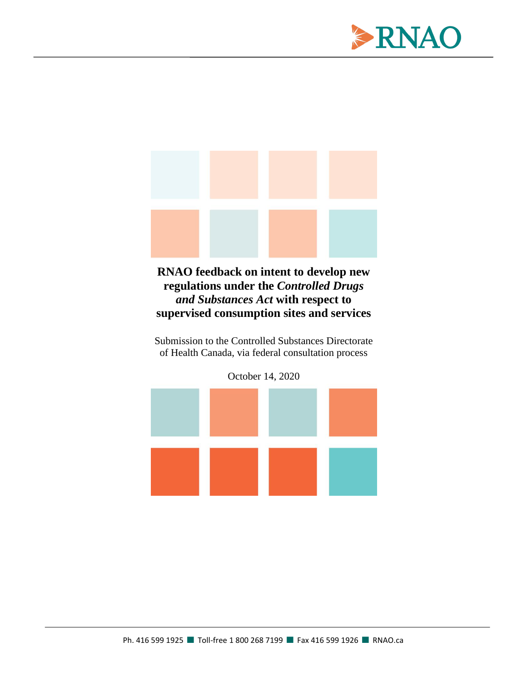



**RNAO feedback on intent to develop new regulations under the** *Controlled Drugs and Substances Act* **with respect to supervised consumption sites and services**

Submission to the Controlled Substances Directorate of Health Canada, via federal consultation process

October 14, 2020

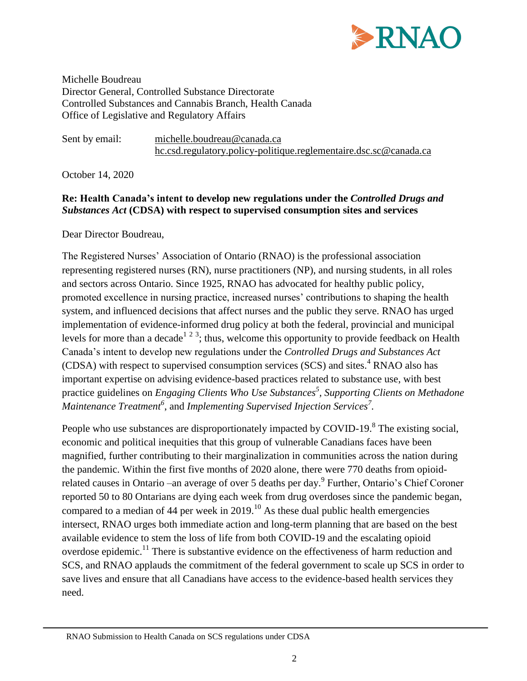

Michelle Boudreau Director General, Controlled Substance Directorate Controlled Substances and Cannabis Branch, Health Canada Office of Legislative and Regulatory Affairs

Sent by email: [michelle.boudreau@canada.ca](mailto:michelle.boudreau@canada.ca) [hc.csd.regulatory.policy-politique.reglementaire.dsc.sc@canada.ca](mailto:hc.csd.regulatory.policy-politique.reglementaire.dsc.sc@canada.ca)

October 14, 2020

# **Re: Health Canada's intent to develop new regulations under the** *Controlled Drugs and Substances Act* **(CDSA) with respect to supervised consumption sites and services**

Dear Director Boudreau,

The Registered Nurses' Association of Ontario (RNAO) is the professional association representing registered nurses (RN), nurse practitioners (NP), and nursing students, in all roles and sectors across Ontario. Since 1925, RNAO has advocated for healthy public policy, promoted excellence in nursing practice, increased nurses' contributions to shaping the health system, and influenced decisions that affect nurses and the public they serve. RNAO has urged implementation of evidence-informed drug policy at both the federal, provincial and municipal levels for more than a decade<sup>1 2 3</sup>; thus, welcome this opportunity to provide feedback on Health Canada's intent to develop new regulations under the *Controlled Drugs and Substances Act*  $(CDSA)$  with respect to supervised consumption services  $(SCS)$  and sites.<sup>4</sup> RNAO also has important expertise on advising evidence-based practices related to substance use, with best practice guidelines on *Engaging Clients Who Use Substances<sup>5</sup> , Supporting Clients on Methadone Maintenance Treatment<sup>6</sup>* , and *Implementing Supervised Injection Services<sup>7</sup> .*

People who use substances are disproportionately impacted by COVID-19.<sup>8</sup> The existing social, economic and political inequities that this group of vulnerable Canadians faces have been magnified, further contributing to their marginalization in communities across the nation during the pandemic. Within the first five months of 2020 alone, there were 770 deaths from opioidrelated causes in Ontario –an average of over 5 deaths per day.<sup>9</sup> Further, Ontario's Chief Coroner reported 50 to 80 Ontarians are dying each week from drug overdoses since the pandemic began, compared to a median of 44 per week in  $2019$ .<sup>10</sup> As these dual public health emergencies intersect, RNAO urges both immediate action and long-term planning that are based on the best available evidence to stem the loss of life from both COVID-19 and the escalating opioid overdose epidemic.<sup>11</sup> There is substantive evidence on the effectiveness of harm reduction and SCS, and RNAO applauds the commitment of the federal government to scale up SCS in order to save lives and ensure that all Canadians have access to the evidence-based health services they need.

RNAO Submission to Health Canada on SCS regulations under CDSA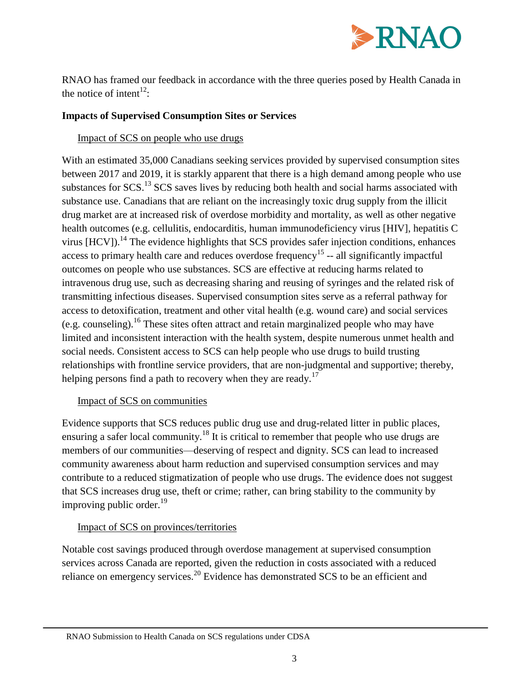

RNAO has framed our feedback in accordance with the three queries posed by Health Canada in the notice of intent<sup>12</sup>:

### **Impacts of Supervised Consumption Sites or Services**

# Impact of SCS on people who use drugs

With an estimated 35,000 Canadians seeking services provided by supervised consumption sites between 2017 and 2019, it is starkly apparent that there is a high demand among people who use substances for SCS.<sup>13</sup> SCS saves lives by reducing both health and social harms associated with substance use. Canadians that are reliant on the increasingly toxic drug supply from the illicit drug market are at increased risk of overdose morbidity and mortality, as well as other negative health outcomes (e.g. cellulitis, endocarditis, human immunodeficiency virus [HIV], hepatitis C virus [HCV]).<sup>14</sup> The evidence highlights that SCS provides safer injection conditions, enhances access to primary health care and reduces overdose frequency<sup>15</sup> -- all significantly impactful outcomes on people who use substances. SCS are effective at reducing harms related to intravenous drug use, such as decreasing sharing and reusing of syringes and the related risk of transmitting infectious diseases. Supervised consumption sites serve as a referral pathway for access to detoxification, treatment and other vital health (e.g. wound care) and social services (e.g. counseling).<sup>16</sup> These sites often attract and retain marginalized people who may have limited and inconsistent interaction with the health system, despite numerous unmet health and social needs. Consistent access to SCS can help people who use drugs to build trusting relationships with frontline service providers, that are non-judgmental and supportive; thereby, helping persons find a path to recovery when they are ready.<sup>17</sup>

### Impact of SCS on communities

Evidence supports that SCS reduces public drug use and drug-related litter in public places, ensuring a safer local community.<sup>18</sup> It is critical to remember that people who use drugs are members of our communities—deserving of respect and dignity. SCS can lead to increased community awareness about harm reduction and supervised consumption services and may contribute to a reduced stigmatization of people who use drugs. The evidence does not suggest that SCS increases drug use, theft or crime; rather, can bring stability to the community by improving public order. $19$ 

### Impact of SCS on provinces/territories

Notable cost savings produced through overdose management at supervised consumption services across Canada are reported, given the reduction in costs associated with a reduced reliance on emergency services.<sup>20</sup> Evidence has demonstrated SCS to be an efficient and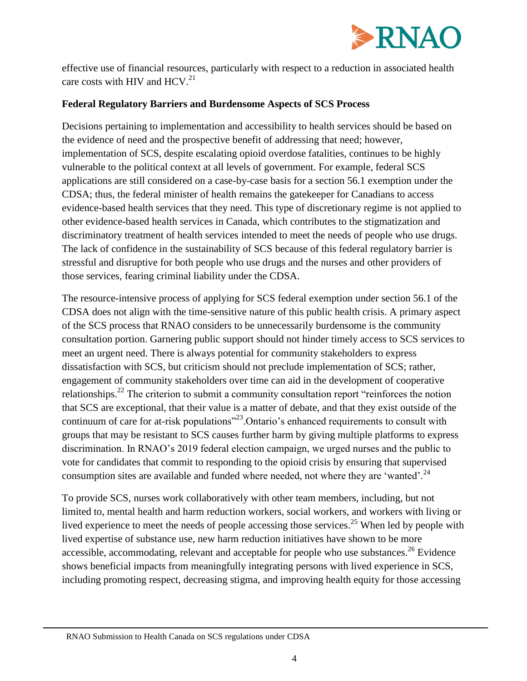

effective use of financial resources, particularly with respect to a reduction in associated health care costs with HIV and  $HCV.<sup>21</sup>$ 

## **Federal Regulatory Barriers and Burdensome Aspects of SCS Process**

Decisions pertaining to implementation and accessibility to health services should be based on the evidence of need and the prospective benefit of addressing that need; however, implementation of SCS, despite escalating opioid overdose fatalities, continues to be highly vulnerable to the political context at all levels of government. For example, federal SCS applications are still considered on a case-by-case basis for a section 56.1 exemption under the CDSA; thus, the federal minister of health remains the gatekeeper for Canadians to access evidence-based health services that they need. This type of discretionary regime is not applied to other evidence-based health services in Canada, which contributes to the stigmatization and discriminatory treatment of health services intended to meet the needs of people who use drugs. The lack of confidence in the sustainability of SCS because of this federal regulatory barrier is stressful and disruptive for both people who use drugs and the nurses and other providers of those services, fearing criminal liability under the CDSA.

The resource-intensive process of applying for SCS federal exemption under section 56.1 of the CDSA does not align with the time-sensitive nature of this public health crisis. A primary aspect of the SCS process that RNAO considers to be unnecessarily burdensome is the community consultation portion. Garnering public support should not hinder timely access to SCS services to meet an urgent need. There is always potential for community stakeholders to express dissatisfaction with SCS, but criticism should not preclude implementation of SCS; rather, engagement of community stakeholders over time can aid in the development of cooperative relationships.<sup>22</sup> The criterion to submit a community consultation report "reinforces the notion" that SCS are exceptional, that their value is a matter of debate, and that they exist outside of the continuum of care for at-risk populations<sup> $23$ </sup>. Ontario's enhanced requirements to consult with groups that may be resistant to SCS causes further harm by giving multiple platforms to express discrimination. In RNAO's 2019 federal election campaign, we urged nurses and the public to vote for candidates that commit to responding to the opioid crisis by ensuring that supervised consumption sites are available and funded where needed, not where they are 'wanted'.<sup>24</sup>

To provide SCS, nurses work collaboratively with other team members, including, but not limited to, mental health and harm reduction workers, social workers, and workers with living or lived experience to meet the needs of people accessing those services.<sup>25</sup> When led by people with lived expertise of substance use, new harm reduction initiatives have shown to be more accessible, accommodating, relevant and acceptable for people who use substances.<sup>26</sup> Evidence shows beneficial impacts from meaningfully integrating persons with lived experience in SCS, including promoting respect, decreasing stigma, and improving health equity for those accessing

RNAO Submission to Health Canada on SCS regulations under CDSA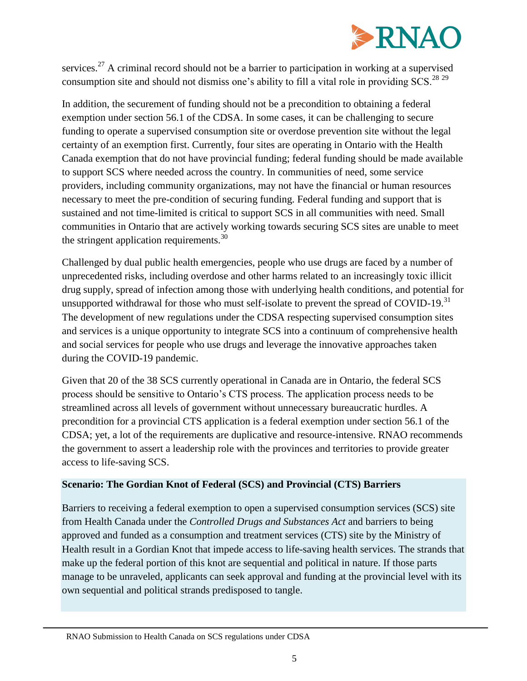

services.<sup>27</sup> A criminal record should not be a barrier to participation in working at a supervised consumption site and should not dismiss one's ability to fill a vital role in providing SCS.<sup>28</sup><sup>29</sup>

In addition, the securement of funding should not be a precondition to obtaining a federal exemption under section 56.1 of the CDSA. In some cases, it can be challenging to secure funding to operate a supervised consumption site or overdose prevention site without the legal certainty of an exemption first. Currently, four sites are operating in Ontario with the Health Canada exemption that do not have provincial funding; federal funding should be made available to support SCS where needed across the country. In communities of need, some service providers, including community organizations, may not have the financial or human resources necessary to meet the pre-condition of securing funding. Federal funding and support that is sustained and not time-limited is critical to support SCS in all communities with need. Small communities in Ontario that are actively working towards securing SCS sites are unable to meet the stringent application requirements. $30$ 

Challenged by dual public health emergencies, people who use drugs are faced by a number of unprecedented risks, including overdose and other harms related to an increasingly toxic illicit drug supply, spread of infection among those with underlying health conditions, and potential for unsupported withdrawal for those who must self-isolate to prevent the spread of COVID-19.<sup>31</sup> The development of new regulations under the CDSA respecting supervised consumption sites and services is a unique opportunity to integrate SCS into a continuum of comprehensive health and social services for people who use drugs and leverage the innovative approaches taken during the COVID-19 pandemic.

Given that 20 of the 38 SCS currently operational in Canada are in Ontario, the federal SCS process should be sensitive to Ontario's CTS process. The application process needs to be streamlined across all levels of government without unnecessary bureaucratic hurdles. A precondition for a provincial CTS application is a federal exemption under section 56.1 of the CDSA; yet, a lot of the requirements are duplicative and resource-intensive. RNAO recommends the government to assert a leadership role with the provinces and territories to provide greater access to life-saving SCS.

### **Scenario: The Gordian Knot of Federal (SCS) and Provincial (CTS) Barriers**

Barriers to receiving a federal exemption to open a supervised consumption services (SCS) site from Health Canada under the *Controlled Drugs and Substances Act* and barriers to being approved and funded as a consumption and treatment services (CTS) site by the Ministry of Health result in a Gordian Knot that impede access to life-saving health services. The strands that make up the federal portion of this knot are sequential and political in nature. If those parts manage to be unraveled, applicants can seek approval and funding at the provincial level with its own sequential and political strands predisposed to tangle.

RNAO Submission to Health Canada on SCS regulations under CDSA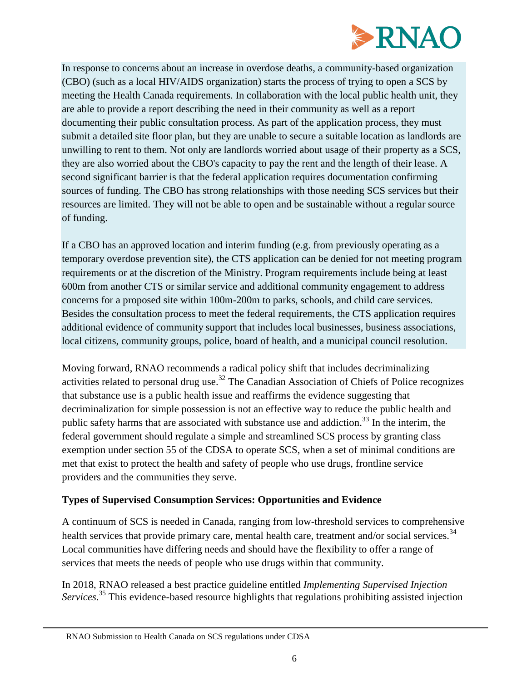

In response to concerns about an increase in overdose deaths, a community-based organization (CBO) (such as a local HIV/AIDS organization) starts the process of trying to open a SCS by meeting the Health Canada requirements. In collaboration with the local public health unit, they are able to provide a report describing the need in their community as well as a report documenting their public consultation process. As part of the application process, they must submit a detailed site floor plan, but they are unable to secure a suitable location as landlords are unwilling to rent to them. Not only are landlords worried about usage of their property as a SCS, they are also worried about the CBO's capacity to pay the rent and the length of their lease. A second significant barrier is that the federal application requires documentation confirming sources of funding. The CBO has strong relationships with those needing SCS services but their resources are limited. They will not be able to open and be sustainable without a regular source of funding.

If a CBO has an approved location and interim funding (e.g. from previously operating as a temporary overdose prevention site), the CTS application can be denied for not meeting program requirements or at the discretion of the Ministry. Program requirements include being at least 600m from another CTS or similar service and additional community engagement to address concerns for a proposed site within 100m-200m to parks, schools, and child care services. Besides the consultation process to meet the federal requirements, the CTS application requires additional evidence of community support that includes local businesses, business associations, local citizens, community groups, police, board of health, and a municipal council resolution.

Moving forward, RNAO recommends a radical policy shift that includes decriminalizing activities related to personal drug use.<sup>32</sup> The Canadian Association of Chiefs of Police recognizes that substance use is a public health issue and reaffirms the evidence suggesting that decriminalization for simple possession is not an effective way to reduce the public health and public safety harms that are associated with substance use and addiction.<sup>33</sup> In the interim, the federal government should regulate a simple and streamlined SCS process by granting class exemption under section 55 of the CDSA to operate SCS, when a set of minimal conditions are met that exist to protect the health and safety of people who use drugs, frontline service providers and the communities they serve.

### **Types of Supervised Consumption Services: Opportunities and Evidence**

A continuum of SCS is needed in Canada, ranging from low-threshold services to comprehensive health services that provide primary care, mental health care, treatment and/or social services.<sup>34</sup> Local communities have differing needs and should have the flexibility to offer a range of services that meets the needs of people who use drugs within that community.

In 2018, RNAO released a best practice guideline entitled *Implementing Supervised Injection Services*. <sup>35</sup> This evidence-based resource highlights that regulations prohibiting assisted injection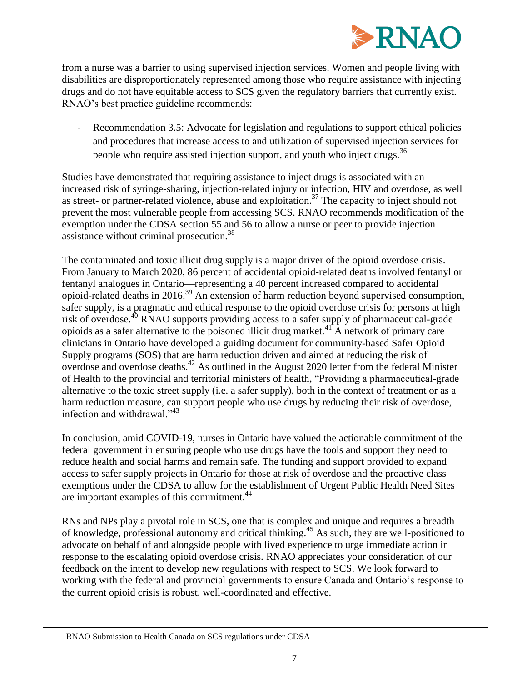

from a nurse was a barrier to using supervised injection services. Women and people living with disabilities are disproportionately represented among those who require assistance with injecting drugs and do not have equitable access to SCS given the regulatory barriers that currently exist. RNAO's best practice guideline recommends:

Recommendation 3.5: Advocate for legislation and regulations to support ethical policies and procedures that increase access to and utilization of supervised injection services for people who require assisted injection support, and youth who inject drugs.<sup>36</sup>

Studies have demonstrated that requiring assistance to inject drugs is associated with an increased risk of syringe-sharing, injection-related injury or infection, HIV and overdose, as well as street- or partner-related violence, abuse and exploitation.<sup>37</sup> The capacity to inject should not prevent the most vulnerable people from accessing SCS. RNAO recommends modification of the exemption under the CDSA section 55 and 56 to allow a nurse or peer to provide injection assistance without criminal prosecution.<sup>38</sup>

The contaminated and toxic illicit drug supply is a major driver of the opioid overdose crisis. From January to March 2020, 86 percent of accidental opioid-related deaths involved fentanyl or fentanyl analogues in Ontario—representing a 40 percent increased compared to accidental opioid-related deaths in 2016.<sup>39</sup> An extension of harm reduction beyond supervised consumption, safer supply, is a pragmatic and ethical response to the opioid overdose crisis for persons at high risk of overdose.<sup>40</sup> RNAO supports providing access to a safer supply of pharmaceutical-grade opioids as a safer alternative to the poisoned illicit drug market.<sup>41</sup> A network of primary care clinicians in Ontario have developed a guiding document for community-based Safer Opioid Supply programs (SOS) that are harm reduction driven and aimed at reducing the risk of overdose and overdose deaths.<sup>42</sup> As outlined in the August 2020 letter from the federal Minister of Health to the provincial and territorial ministers of health, "Providing a pharmaceutical-grade alternative to the toxic street supply (i.e. a safer supply), both in the context of treatment or as a harm reduction measure, can support people who use drugs by reducing their risk of overdose, infection and withdrawal."<sup>43</sup>

In conclusion, amid COVID-19, nurses in Ontario have valued the actionable commitment of the federal government in ensuring people who use drugs have the tools and support they need to reduce health and social harms and remain safe. The funding and support provided to expand access to safer supply projects in Ontario for those at risk of overdose and the proactive class exemptions under the CDSA to allow for the establishment of Urgent Public Health Need Sites are important examples of this commitment.<sup>44</sup>

RNs and NPs play a pivotal role in SCS, one that is complex and unique and requires a breadth of knowledge, professional autonomy and critical thinking. <sup>45</sup> As such, they are well-positioned to advocate on behalf of and alongside people with lived experience to urge immediate action in response to the escalating opioid overdose crisis. RNAO appreciates your consideration of our feedback on the intent to develop new regulations with respect to SCS. We look forward to working with the federal and provincial governments to ensure Canada and Ontario's response to the current opioid crisis is robust, well-coordinated and effective.

RNAO Submission to Health Canada on SCS regulations under CDSA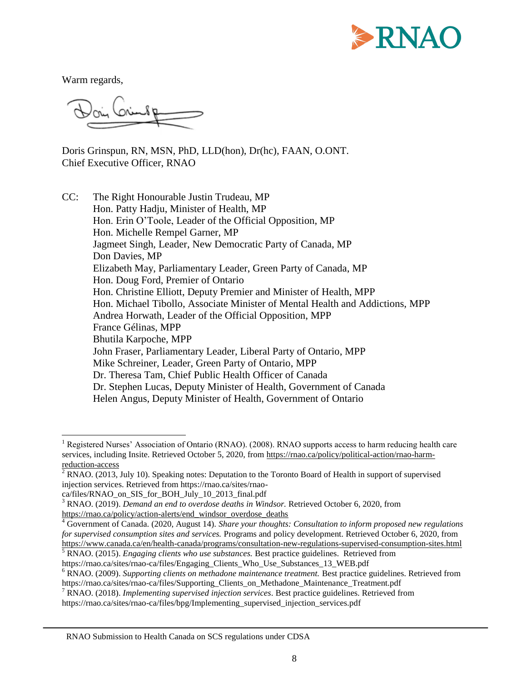

Warm regards,

Doris Grinspun, RN, MSN, PhD, LLD(hon), Dr(hc), FAAN, O.ONT. Chief Executive Officer, RNAO

CC: The Right Honourable Justin Trudeau, MP Hon. Patty Hadju, Minister of Health, MP Hon. Erin O'Toole, Leader of the Official Opposition, MP Hon. Michelle Rempel Garner, MP Jagmeet Singh, Leader, New Democratic Party of Canada, MP Don Davies, MP Elizabeth May, Parliamentary Leader, Green Party of Canada, MP Hon. Doug Ford, Premier of Ontario Hon. Christine Elliott, Deputy Premier and Minister of Health, MPP Hon. Michael Tibollo, Associate Minister of Mental Health and Addictions, MPP Andrea Horwath, Leader of the Official Opposition, MPP France Gélinas, MPP Bhutila Karpoche, MPP John Fraser, Parliamentary Leader, Liberal Party of Ontario, MPP Mike Schreiner, Leader, Green Party of Ontario, MPP Dr. Theresa Tam, Chief Public Health Officer of Canada Dr. Stephen Lucas, Deputy Minister of Health, Government of Canada Helen Angus, Deputy Minister of Health, Government of Ontario

l <sup>1</sup> Registered Nurses' Association of Ontario (RNAO). (2008). RNAO supports access to harm reducing health care services, including Insite. Retrieved October 5, 2020, fro[m https://rnao.ca/policy/political-action/rnao-harm](https://rnao.ca/policy/political-action/rnao-harm-reduction-access)[reduction-access](https://rnao.ca/policy/political-action/rnao-harm-reduction-access)

 $2$  RNAO. (2013, July 10). Speaking notes: Deputation to the Toronto Board of Health in support of supervised injection services. Retrieved from https://rnao.ca/sites/rnao-

ca/files/RNAO\_on\_SIS\_for\_BOH\_July\_10\_2013\_final.pdf

<sup>&</sup>lt;sup>3</sup> RNAO. (2019). *Demand an end to overdose deaths in Windsor*. Retrieved October 6, 2020, from [https://rnao.ca/policy/action-alerts/end\\_windsor\\_overdose\\_deaths](https://rnao.ca/policy/action-alerts/end_windsor_overdose_deaths)

<sup>4</sup> Government of Canada. (2020, August 14). *Share your thoughts: Consultation to inform proposed new regulations for supervised consumption sites and services.* Programs and policy development. Retrieved October 6, 2020, from <https://www.canada.ca/en/health-canada/programs/consultation-new-regulations-supervised-consumption-sites.html>

<sup>5</sup> RNAO. (2015). *Engaging clients who use substances.* Best practice guidelines. Retrieved from https://rnao.ca/sites/rnao-ca/files/Engaging\_Clients\_Who\_Use\_Substances\_13\_WEB.pdf

<sup>6</sup> RNAO. (2009). *Supporting clients on methadone maintenance treatment.* Best practice guidelines. Retrieved from https://rnao.ca/sites/rnao-ca/files/Supporting\_Clients\_on\_Methadone\_Maintenance\_Treatment.pdf

<sup>7</sup> RNAO. (2018). *Implementing supervised injection services*. Best practice guidelines. Retrieved from https://rnao.ca/sites/rnao-ca/files/bpg/Implementing\_supervised\_injection\_services.pdf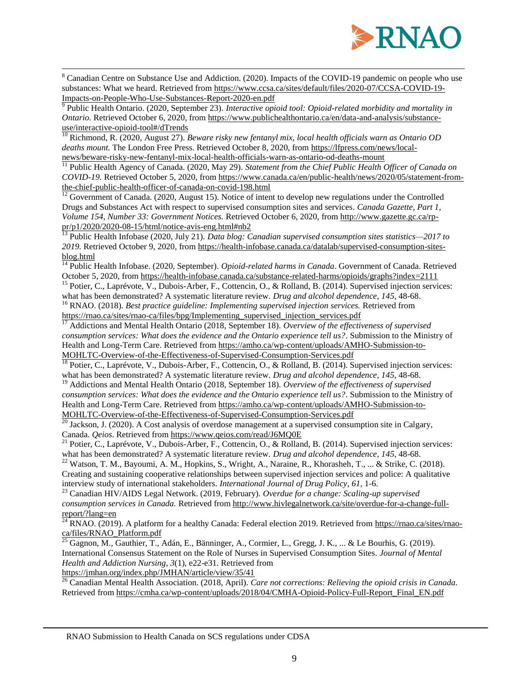

<sup>8</sup> Canadian Centre on Substance Use and Addiction. (2020). Impacts of the COVID-19 pandemic on people who use substances: What we heard. Retrieved from [https://www.ccsa.ca/sites/default/files/2020-07/CCSA-COVID-19-](https://www.ccsa.ca/sites/default/files/2020-07/CCSA-COVID-19-Impacts-on-People-Who-Use-Substances-Report-2020-en.pdf) [Impacts-on-People-Who-Use-Substances-Report-2020-en.pdf](https://www.ccsa.ca/sites/default/files/2020-07/CCSA-COVID-19-Impacts-on-People-Who-Use-Substances-Report-2020-en.pdf)

<sup>9</sup> Public Health Ontario. (2020, September 23). *Interactive opioid tool: Opioid-related morbidity and mortality in Ontario.* Retrieved October 6, 2020, fro[m https://www.publichealthontario.ca/en/data-and-analysis/substance](https://www.publichealthontario.ca/en/data-and-analysis/substance-use/interactive-opioid-tool#/dTrends)[use/interactive-opioid-tool#/dTrends](https://www.publichealthontario.ca/en/data-and-analysis/substance-use/interactive-opioid-tool#/dTrends)

<sup>10</sup> Richmond, R. (2020, August 27). *Beware risky new fentanyl mix, local health officials warn as Ontario OD deaths mount.* The London Free Press. Retrieved October 8, 2020, from [https://lfpress.com/news/local](https://lfpress.com/news/local-news/beware-risky-new-fentanyl-mix-local-health-officials-warn-as-ontario-od-deaths-mount)[news/beware-risky-new-fentanyl-mix-local-health-officials-warn-as-ontario-od-deaths-mount](https://lfpress.com/news/local-news/beware-risky-new-fentanyl-mix-local-health-officials-warn-as-ontario-od-deaths-mount)

<sup>11</sup> Public Health Agency of Canada. (2020, May 29). *Statement from the Chief Public Health Officer of Canada on COVID-19.* Retrieved October 5, 2020, from [https://www.canada.ca/en/public-health/news/2020/05/statement-from](https://www.canada.ca/en/public-health/news/2020/05/statement-from-the-chief-public-health-officer-of-canada-on-covid-198.html)[the-chief-public-health-officer-of-canada-on-covid-198.html](https://www.canada.ca/en/public-health/news/2020/05/statement-from-the-chief-public-health-officer-of-canada-on-covid-198.html)

 $\frac{12}{12}$  Government of Canada. (2020, August 15). Notice of intent to develop new regulations under the Controlled Drugs and Substances Act with respect to supervised consumption sites and services. *Canada Gazette, Part 1, Volume 154, Number 33: Government Notices.* Retrieved October 6, 2020, fro[m http://www.gazette.gc.ca/rp](http://www.gazette.gc.ca/rp-pr/p1/2020/2020-08-15/html/notice-avis-eng.html#nb2)[pr/p1/2020/2020-08-15/html/notice-avis-eng.html#nb2](http://www.gazette.gc.ca/rp-pr/p1/2020/2020-08-15/html/notice-avis-eng.html#nb2)

<sup>13</sup> Public Health Infobase (2020, July 21). *Data blog: Canadian supervised consumption sites statistics—2017 to 2019.* Retrieved October 9, 2020, from [https://health-infobase.canada.ca/datalab/supervised-consumption-sites](https://health-infobase.canada.ca/datalab/supervised-consumption-sites-blog.html)[blog.html](https://health-infobase.canada.ca/datalab/supervised-consumption-sites-blog.html)

<sup>14</sup> Public Health Infobase. (2020, September). *Opioid-related harms in Canada*. Government of Canada. Retrieved October 5, 2020, fro[m https://health-infobase.canada.ca/substance-related-harms/opioids/graphs?index=2111](https://health-infobase.canada.ca/substance-related-harms/opioids/graphs?index=2111)

<sup>15</sup> Potier, C., Laprévote, V., Dubois-Arber, F., Cottencin, O., & Rolland, B. (2014). Supervised injection services: what has been demonstrated? A systematic literature review. *Drug and alcohol dependence*, *145*, 48-68.

<sup>16</sup> RNAO. (2018). *Best practice guideline: Implementing supervised injection services.* Retrieved from [https://rnao.ca/sites/rnao-ca/files/bpg/Implementing\\_supervised\\_injection\\_services.pdf](https://rnao.ca/sites/rnao-ca/files/bpg/Implementing_supervised_injection_services.pdf)<br>17 Addictions and M. (1999).

<sup>17</sup> Addictions and Mental Health Ontario (2018, September 18). *Overview of the effectiveness of supervised consumption services: What does the evidence and the Ontario experience tell us?*. Submission to the Ministry of Health and Long-Term Care. Retrieved from [https://amho.ca/wp-content/uploads/AMHO-Submission-to-](https://amho.ca/wp-content/uploads/AMHO-Submission-to-MOHLTC-Overview-of-the-Effectiveness-of-Supervised-Consumption-Services.pdf)[MOHLTC-Overview-of-the-Effectiveness-of-Supervised-Consumption-Services.pdf](https://amho.ca/wp-content/uploads/AMHO-Submission-to-MOHLTC-Overview-of-the-Effectiveness-of-Supervised-Consumption-Services.pdf)

<sup>18</sup> Potier, C., Laprévote, V., Dubois-Arber, F., Cottencin, O., & Rolland, B. (2014). Supervised injection services: what has been demonstrated? A systematic literature review. *Drug and alcohol dependence*, *145*, 48-68.

<sup>19</sup> Addictions and Mental Health Ontario (2018, September 18). Overview of the effectiveness of supervised *consumption services: What does the evidence and the Ontario experience tell us?*. Submission to the Ministry of Health and Long-Term Care. Retrieved from [https://amho.ca/wp-content/uploads/AMHO-Submission-to-](https://amho.ca/wp-content/uploads/AMHO-Submission-to-MOHLTC-Overview-of-the-Effectiveness-of-Supervised-Consumption-Services.pdf)[MOHLTC-Overview-of-the-Effectiveness-of-Supervised-Consumption-Services.pdf](https://amho.ca/wp-content/uploads/AMHO-Submission-to-MOHLTC-Overview-of-the-Effectiveness-of-Supervised-Consumption-Services.pdf)

 $\frac{20}{20}$  Jackson, J. (2020). A Cost analysis of overdose management at a supervised consumption site in Calgary, Canada. *Qeios*. Retrieved fro[m https://www.qeios.com/read/J6MQ0E](https://www.qeios.com/read/J6MQ0E)

<sup>21</sup> Potier, C., Laprévote, V., Dubois-Arber, F., Cottencin, O., & Rolland, B. (2014). Supervised injection services: what has been demonstrated? A systematic literature review. *Drug and alcohol dependence*, *145*, 48-68.

<sup>22</sup> Watson, T. M., Bayoumi, A. M., Hopkins, S., Wright, A., Naraine, R., Khorasheh, T., ... & Strike, C. (2018). Creating and sustaining cooperative relationships between supervised injection services and police: A qualitative interview study of international stakeholders. *International Journal of Drug Policy*, *61*, 1-6.

<sup>23</sup> Canadian HIV/AIDS Legal Network. (2019, February). *Overdue for a change: Scaling-up supervised consumption services in Canada.* Retrieved fro[m http://www.hivlegalnetwork.ca/site/overdue-for-a-change-full](http://www.hivlegalnetwork.ca/site/overdue-for-a-change-full-report/?lang=en)[report/?lang=en](http://www.hivlegalnetwork.ca/site/overdue-for-a-change-full-report/?lang=en)

<sup>24</sup> RNAO. (2019). A platform for a healthy Canada: Federal election 2019. Retrieved from [https://rnao.ca/sites/rnao](https://rnao.ca/sites/rnao-ca/files/RNAO_Platform.pdf)[ca/files/RNAO\\_Platform.pdf](https://rnao.ca/sites/rnao-ca/files/RNAO_Platform.pdf)

 $^{25}$  Gagnon, M., Gauthier, T., Adán, E., Bänninger, A., Cormier, L., Gregg, J. K., ... & Le Bourhis, G. (2019). International Consensus Statement on the Role of Nurses in Supervised Consumption Sites. *Journal of Mental Health and Addiction Nursing*, *3*(1), e22-e31. Retrieved from

<https://jmhan.org/index.php/JMHAN/article/view/35/41>

 $\overline{\phantom{a}}$ 

<sup>26</sup> Canadian Mental Health Association. (2018, April). *Care not corrections: Relieving the opioid crisis in Canada.* Retrieved from [https://cmha.ca/wp-content/uploads/2018/04/CMHA-Opioid-Policy-Full-Report\\_Final\\_EN.pdf](https://cmha.ca/wp-content/uploads/2018/04/CMHA-Opioid-Policy-Full-Report_Final_EN.pdf)

RNAO Submission to Health Canada on SCS regulations under CDSA